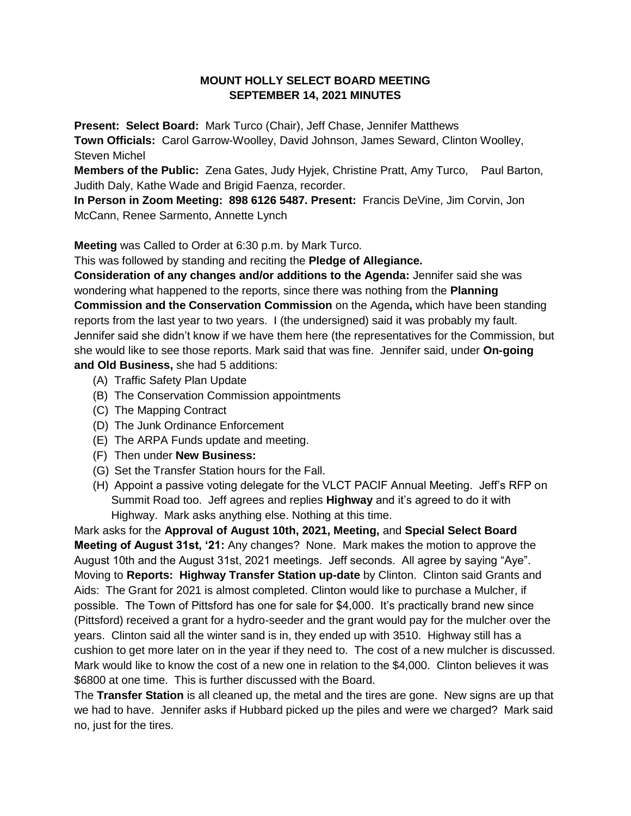## **MOUNT HOLLY SELECT BOARD MEETING SEPTEMBER 14, 2021 MINUTES**

**Present: Select Board:** Mark Turco (Chair), Jeff Chase, Jennifer Matthews

**Town Officials:** Carol Garrow-Woolley, David Johnson, James Seward, Clinton Woolley, Steven Michel

**Members of the Public:** Zena Gates, Judy Hyjek, Christine Pratt, Amy Turco, Paul Barton, Judith Daly, Kathe Wade and Brigid Faenza, recorder.

**In Person in Zoom Meeting: 898 6126 5487. Present:** Francis DeVine, Jim Corvin, Jon McCann, Renee Sarmento, Annette Lynch

**Meeting** was Called to Order at 6:30 p.m. by Mark Turco.

This was followed by standing and reciting the **Pledge of Allegiance.**

**Consideration of any changes and/or additions to the Agenda:** Jennifer said she was wondering what happened to the reports, since there was nothing from the **Planning Commission and the Conservation Commission** on the Agenda**,** which have been standing reports from the last year to two years. I (the undersigned) said it was probably my fault. Jennifer said she didn't know if we have them here (the representatives for the Commission, but she would like to see those reports. Mark said that was fine. Jennifer said, under **On-going and Old Business,** she had 5 additions:

- (A) Traffic Safety Plan Update
- (B) The Conservation Commission appointments
- (C) The Mapping Contract
- (D) The Junk Ordinance Enforcement
- (E) The ARPA Funds update and meeting.
- (F) Then under **New Business:**
- (G) Set the Transfer Station hours for the Fall.
- (H) Appoint a passive voting delegate for the VLCT PACIF Annual Meeting. Jeff's RFP on Summit Road too. Jeff agrees and replies **Highway** and it's agreed to do it with Highway. Mark asks anything else. Nothing at this time.

Mark asks for the **Approval of August 10th, 2021, Meeting,** and **Special Select Board Meeting of August 31st, '21:** Any changes? None. Mark makes the motion to approve the August 10th and the August 31st, 2021 meetings. Jeff seconds. All agree by saying "Aye". Moving to **Reports: Highway Transfer Station up-date** by Clinton. Clinton said Grants and Aids: The Grant for 2021 is almost completed. Clinton would like to purchase a Mulcher, if possible. The Town of Pittsford has one for sale for \$4,000. It's practically brand new since (Pittsford) received a grant for a hydro-seeder and the grant would pay for the mulcher over the years. Clinton said all the winter sand is in, they ended up with 3510. Highway still has a cushion to get more later on in the year if they need to. The cost of a new mulcher is discussed. Mark would like to know the cost of a new one in relation to the \$4,000. Clinton believes it was \$6800 at one time. This is further discussed with the Board.

The **Transfer Station** is all cleaned up, the metal and the tires are gone. New signs are up that we had to have. Jennifer asks if Hubbard picked up the piles and were we charged? Mark said no, just for the tires.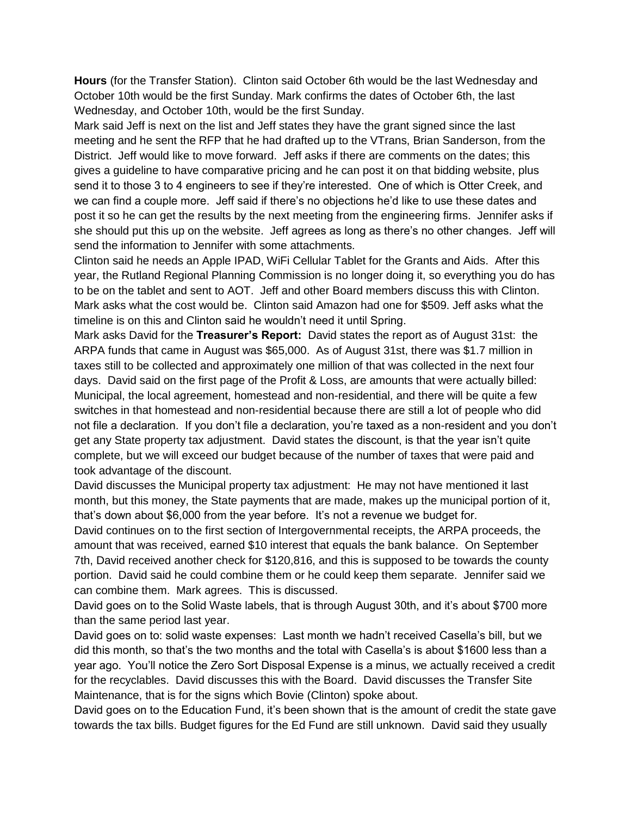**Hours** (for the Transfer Station). Clinton said October 6th would be the last Wednesday and October 10th would be the first Sunday. Mark confirms the dates of October 6th, the last Wednesday, and October 10th, would be the first Sunday.

Mark said Jeff is next on the list and Jeff states they have the grant signed since the last meeting and he sent the RFP that he had drafted up to the VTrans, Brian Sanderson, from the District. Jeff would like to move forward. Jeff asks if there are comments on the dates; this gives a guideline to have comparative pricing and he can post it on that bidding website, plus send it to those 3 to 4 engineers to see if they're interested. One of which is Otter Creek, and we can find a couple more. Jeff said if there's no objections he'd like to use these dates and post it so he can get the results by the next meeting from the engineering firms. Jennifer asks if she should put this up on the website. Jeff agrees as long as there's no other changes. Jeff will send the information to Jennifer with some attachments.

Clinton said he needs an Apple IPAD, WiFi Cellular Tablet for the Grants and Aids. After this year, the Rutland Regional Planning Commission is no longer doing it, so everything you do has to be on the tablet and sent to AOT. Jeff and other Board members discuss this with Clinton. Mark asks what the cost would be. Clinton said Amazon had one for \$509. Jeff asks what the timeline is on this and Clinton said he wouldn't need it until Spring.

Mark asks David for the **Treasurer's Report:** David states the report as of August 31st: the ARPA funds that came in August was \$65,000. As of August 31st, there was \$1.7 million in taxes still to be collected and approximately one million of that was collected in the next four days. David said on the first page of the Profit & Loss, are amounts that were actually billed: Municipal, the local agreement, homestead and non-residential, and there will be quite a few switches in that homestead and non-residential because there are still a lot of people who did not file a declaration. If you don't file a declaration, you're taxed as a non-resident and you don't get any State property tax adjustment. David states the discount, is that the year isn't quite complete, but we will exceed our budget because of the number of taxes that were paid and took advantage of the discount.

David discusses the Municipal property tax adjustment: He may not have mentioned it last month, but this money, the State payments that are made, makes up the municipal portion of it, that's down about \$6,000 from the year before. It's not a revenue we budget for.

David continues on to the first section of Intergovernmental receipts, the ARPA proceeds, the amount that was received, earned \$10 interest that equals the bank balance. On September 7th, David received another check for \$120,816, and this is supposed to be towards the county portion. David said he could combine them or he could keep them separate. Jennifer said we can combine them. Mark agrees. This is discussed.

David goes on to the Solid Waste labels, that is through August 30th, and it's about \$700 more than the same period last year.

David goes on to: solid waste expenses: Last month we hadn't received Casella's bill, but we did this month, so that's the two months and the total with Casella's is about \$1600 less than a year ago. You'll notice the Zero Sort Disposal Expense is a minus, we actually received a credit for the recyclables. David discusses this with the Board. David discusses the Transfer Site Maintenance, that is for the signs which Bovie (Clinton) spoke about.

David goes on to the Education Fund, it's been shown that is the amount of credit the state gave towards the tax bills. Budget figures for the Ed Fund are still unknown. David said they usually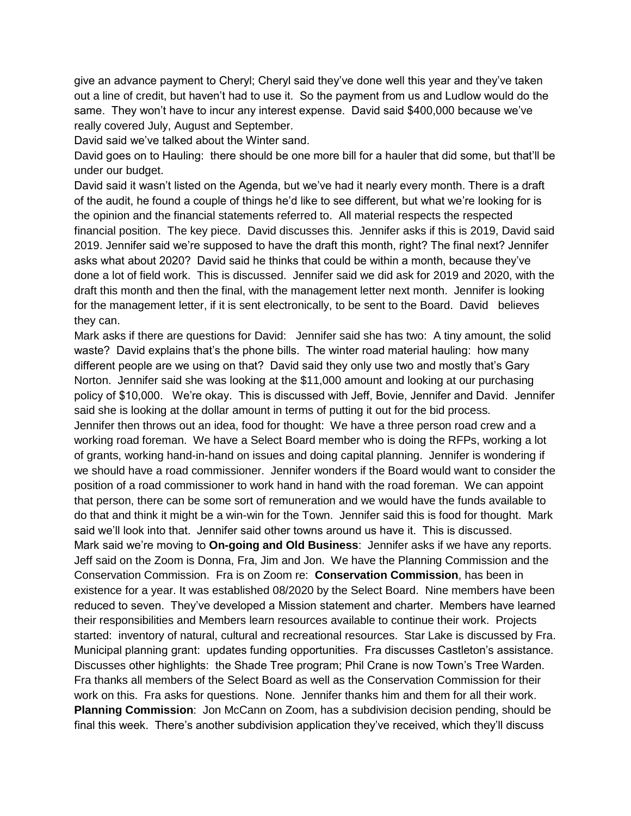give an advance payment to Cheryl; Cheryl said they've done well this year and they've taken out a line of credit, but haven't had to use it. So the payment from us and Ludlow would do the same. They won't have to incur any interest expense. David said \$400,000 because we've really covered July, August and September.

David said we've talked about the Winter sand.

David goes on to Hauling: there should be one more bill for a hauler that did some, but that'll be under our budget.

David said it wasn't listed on the Agenda, but we've had it nearly every month. There is a draft of the audit, he found a couple of things he'd like to see different, but what we're looking for is the opinion and the financial statements referred to. All material respects the respected financial position. The key piece. David discusses this. Jennifer asks if this is 2019, David said 2019. Jennifer said we're supposed to have the draft this month, right? The final next? Jennifer asks what about 2020? David said he thinks that could be within a month, because they've done a lot of field work. This is discussed. Jennifer said we did ask for 2019 and 2020, with the draft this month and then the final, with the management letter next month. Jennifer is looking for the management letter, if it is sent electronically, to be sent to the Board. David believes they can.

Mark asks if there are questions for David: Jennifer said she has two: A tiny amount, the solid waste? David explains that's the phone bills. The winter road material hauling: how many different people are we using on that? David said they only use two and mostly that's Gary Norton. Jennifer said she was looking at the \$11,000 amount and looking at our purchasing policy of \$10,000. We're okay. This is discussed with Jeff, Bovie, Jennifer and David. Jennifer said she is looking at the dollar amount in terms of putting it out for the bid process.

Jennifer then throws out an idea, food for thought: We have a three person road crew and a working road foreman. We have a Select Board member who is doing the RFPs, working a lot of grants, working hand-in-hand on issues and doing capital planning. Jennifer is wondering if we should have a road commissioner. Jennifer wonders if the Board would want to consider the position of a road commissioner to work hand in hand with the road foreman. We can appoint that person, there can be some sort of remuneration and we would have the funds available to do that and think it might be a win-win for the Town. Jennifer said this is food for thought. Mark said we'll look into that. Jennifer said other towns around us have it. This is discussed. Mark said we're moving to **On-going and Old Business**: Jennifer asks if we have any reports. Jeff said on the Zoom is Donna, Fra, Jim and Jon. We have the Planning Commission and the Conservation Commission. Fra is on Zoom re: **Conservation Commission**, has been in existence for a year. It was established 08/2020 by the Select Board. Nine members have been reduced to seven. They've developed a Mission statement and charter. Members have learned their responsibilities and Members learn resources available to continue their work. Projects started: inventory of natural, cultural and recreational resources. Star Lake is discussed by Fra. Municipal planning grant: updates funding opportunities. Fra discusses Castleton's assistance. Discusses other highlights: the Shade Tree program; Phil Crane is now Town's Tree Warden. Fra thanks all members of the Select Board as well as the Conservation Commission for their work on this. Fra asks for questions. None. Jennifer thanks him and them for all their work. **Planning Commission**: Jon McCann on Zoom, has a subdivision decision pending, should be final this week. There's another subdivision application they've received, which they'll discuss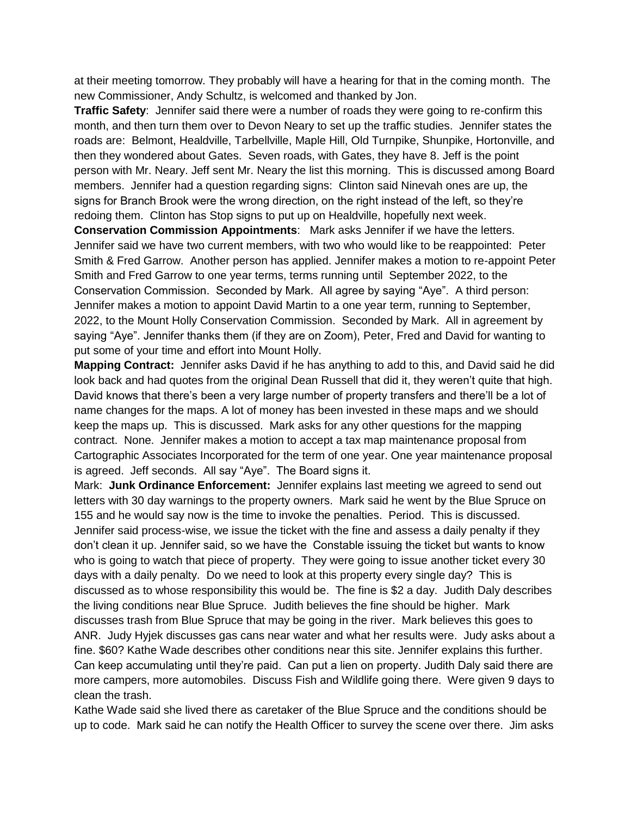at their meeting tomorrow. They probably will have a hearing for that in the coming month. The new Commissioner, Andy Schultz, is welcomed and thanked by Jon.

**Traffic Safety**: Jennifer said there were a number of roads they were going to re-confirm this month, and then turn them over to Devon Neary to set up the traffic studies. Jennifer states the roads are: Belmont, Healdville, Tarbellville, Maple Hill, Old Turnpike, Shunpike, Hortonville, and then they wondered about Gates. Seven roads, with Gates, they have 8. Jeff is the point person with Mr. Neary. Jeff sent Mr. Neary the list this morning. This is discussed among Board members. Jennifer had a question regarding signs: Clinton said Ninevah ones are up, the signs for Branch Brook were the wrong direction, on the right instead of the left, so they're redoing them. Clinton has Stop signs to put up on Healdville, hopefully next week.

**Conservation Commission Appointments**: Mark asks Jennifer if we have the letters. Jennifer said we have two current members, with two who would like to be reappointed: Peter Smith & Fred Garrow. Another person has applied. Jennifer makes a motion to re-appoint Peter Smith and Fred Garrow to one year terms, terms running until September 2022, to the Conservation Commission. Seconded by Mark. All agree by saying "Aye". A third person: Jennifer makes a motion to appoint David Martin to a one year term, running to September, 2022, to the Mount Holly Conservation Commission. Seconded by Mark. All in agreement by saying "Aye". Jennifer thanks them (if they are on Zoom), Peter, Fred and David for wanting to put some of your time and effort into Mount Holly.

**Mapping Contract:** Jennifer asks David if he has anything to add to this, and David said he did look back and had quotes from the original Dean Russell that did it, they weren't quite that high. David knows that there's been a very large number of property transfers and there'll be a lot of name changes for the maps. A lot of money has been invested in these maps and we should keep the maps up. This is discussed. Mark asks for any other questions for the mapping contract. None. Jennifer makes a motion to accept a tax map maintenance proposal from Cartographic Associates Incorporated for the term of one year. One year maintenance proposal is agreed. Jeff seconds. All say "Aye". The Board signs it.

Mark: **Junk Ordinance Enforcement:** Jennifer explains last meeting we agreed to send out letters with 30 day warnings to the property owners. Mark said he went by the Blue Spruce on 155 and he would say now is the time to invoke the penalties. Period. This is discussed. Jennifer said process-wise, we issue the ticket with the fine and assess a daily penalty if they don't clean it up. Jennifer said, so we have the Constable issuing the ticket but wants to know who is going to watch that piece of property. They were going to issue another ticket every 30 days with a daily penalty. Do we need to look at this property every single day? This is discussed as to whose responsibility this would be. The fine is \$2 a day. Judith Daly describes the living conditions near Blue Spruce. Judith believes the fine should be higher. Mark discusses trash from Blue Spruce that may be going in the river. Mark believes this goes to ANR. Judy Hyjek discusses gas cans near water and what her results were. Judy asks about a fine. \$60? Kathe Wade describes other conditions near this site. Jennifer explains this further. Can keep accumulating until they're paid. Can put a lien on property. Judith Daly said there are more campers, more automobiles. Discuss Fish and Wildlife going there. Were given 9 days to clean the trash.

Kathe Wade said she lived there as caretaker of the Blue Spruce and the conditions should be up to code. Mark said he can notify the Health Officer to survey the scene over there. Jim asks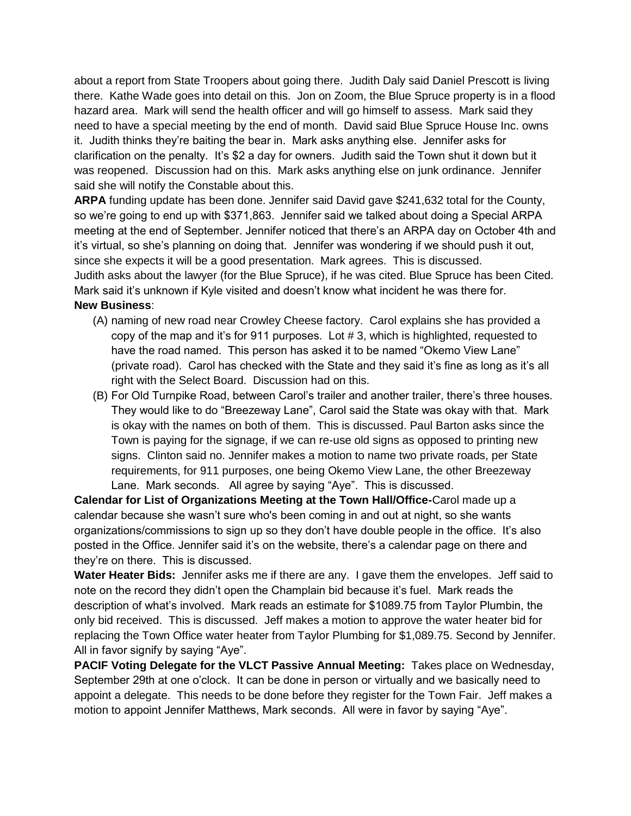about a report from State Troopers about going there. Judith Daly said Daniel Prescott is living there. Kathe Wade goes into detail on this. Jon on Zoom, the Blue Spruce property is in a flood hazard area. Mark will send the health officer and will go himself to assess. Mark said they need to have a special meeting by the end of month. David said Blue Spruce House Inc. owns it. Judith thinks they're baiting the bear in. Mark asks anything else. Jennifer asks for clarification on the penalty. It's \$2 a day for owners. Judith said the Town shut it down but it was reopened. Discussion had on this. Mark asks anything else on junk ordinance. Jennifer said she will notify the Constable about this.

**ARPA** funding update has been done. Jennifer said David gave \$241,632 total for the County, so we're going to end up with \$371,863. Jennifer said we talked about doing a Special ARPA meeting at the end of September. Jennifer noticed that there's an ARPA day on October 4th and it's virtual, so she's planning on doing that. Jennifer was wondering if we should push it out, since she expects it will be a good presentation. Mark agrees. This is discussed. Judith asks about the lawyer (for the Blue Spruce), if he was cited. Blue Spruce has been Cited. Mark said it's unknown if Kyle visited and doesn't know what incident he was there for. **New Business**:

- (A) naming of new road near Crowley Cheese factory. Carol explains she has provided a copy of the map and it's for 911 purposes. Lot # 3, which is highlighted, requested to have the road named. This person has asked it to be named "Okemo View Lane" (private road). Carol has checked with the State and they said it's fine as long as it's all right with the Select Board. Discussion had on this.
- (B) For Old Turnpike Road, between Carol's trailer and another trailer, there's three houses. They would like to do "Breezeway Lane", Carol said the State was okay with that. Mark is okay with the names on both of them. This is discussed. Paul Barton asks since the Town is paying for the signage, if we can re-use old signs as opposed to printing new signs. Clinton said no. Jennifer makes a motion to name two private roads, per State requirements, for 911 purposes, one being Okemo View Lane, the other Breezeway Lane. Mark seconds. All agree by saying "Aye". This is discussed.

**Calendar for List of Organizations Meeting at the Town Hall/Office-**Carol made up a calendar because she wasn't sure who's been coming in and out at night, so she wants organizations/commissions to sign up so they don't have double people in the office. It's also posted in the Office. Jennifer said it's on the website, there's a calendar page on there and they're on there. This is discussed.

**Water Heater Bids:** Jennifer asks me if there are any. I gave them the envelopes. Jeff said to note on the record they didn't open the Champlain bid because it's fuel. Mark reads the description of what's involved. Mark reads an estimate for \$1089.75 from Taylor Plumbin, the only bid received. This is discussed. Jeff makes a motion to approve the water heater bid for replacing the Town Office water heater from Taylor Plumbing for \$1,089.75. Second by Jennifer. All in favor signify by saying "Aye".

**PACIF Voting Delegate for the VLCT Passive Annual Meeting:** Takes place on Wednesday, September 29th at one o'clock. It can be done in person or virtually and we basically need to appoint a delegate. This needs to be done before they register for the Town Fair. Jeff makes a motion to appoint Jennifer Matthews, Mark seconds. All were in favor by saying "Aye".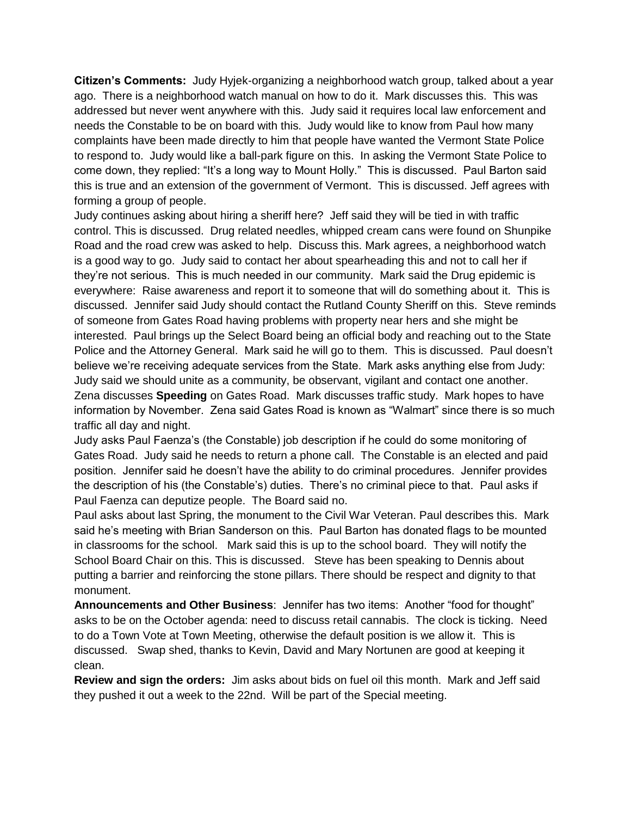**Citizen's Comments:** Judy Hyjek-organizing a neighborhood watch group, talked about a year ago. There is a neighborhood watch manual on how to do it. Mark discusses this. This was addressed but never went anywhere with this. Judy said it requires local law enforcement and needs the Constable to be on board with this. Judy would like to know from Paul how many complaints have been made directly to him that people have wanted the Vermont State Police to respond to. Judy would like a ball-park figure on this. In asking the Vermont State Police to come down, they replied: "It's a long way to Mount Holly." This is discussed. Paul Barton said this is true and an extension of the government of Vermont. This is discussed. Jeff agrees with forming a group of people.

Judy continues asking about hiring a sheriff here? Jeff said they will be tied in with traffic control. This is discussed. Drug related needles, whipped cream cans were found on Shunpike Road and the road crew was asked to help. Discuss this. Mark agrees, a neighborhood watch is a good way to go. Judy said to contact her about spearheading this and not to call her if they're not serious. This is much needed in our community. Mark said the Drug epidemic is everywhere: Raise awareness and report it to someone that will do something about it. This is discussed. Jennifer said Judy should contact the Rutland County Sheriff on this. Steve reminds of someone from Gates Road having problems with property near hers and she might be interested. Paul brings up the Select Board being an official body and reaching out to the State Police and the Attorney General. Mark said he will go to them. This is discussed. Paul doesn't believe we're receiving adequate services from the State. Mark asks anything else from Judy: Judy said we should unite as a community, be observant, vigilant and contact one another. Zena discusses **Speeding** on Gates Road. Mark discusses traffic study. Mark hopes to have information by November. Zena said Gates Road is known as "Walmart" since there is so much traffic all day and night.

Judy asks Paul Faenza's (the Constable) job description if he could do some monitoring of Gates Road. Judy said he needs to return a phone call. The Constable is an elected and paid position. Jennifer said he doesn't have the ability to do criminal procedures. Jennifer provides the description of his (the Constable's) duties. There's no criminal piece to that. Paul asks if Paul Faenza can deputize people. The Board said no.

Paul asks about last Spring, the monument to the Civil War Veteran. Paul describes this. Mark said he's meeting with Brian Sanderson on this. Paul Barton has donated flags to be mounted in classrooms for the school. Mark said this is up to the school board. They will notify the School Board Chair on this. This is discussed. Steve has been speaking to Dennis about putting a barrier and reinforcing the stone pillars. There should be respect and dignity to that monument.

**Announcements and Other Business**: Jennifer has two items: Another "food for thought" asks to be on the October agenda: need to discuss retail cannabis. The clock is ticking. Need to do a Town Vote at Town Meeting, otherwise the default position is we allow it. This is discussed. Swap shed, thanks to Kevin, David and Mary Nortunen are good at keeping it clean.

**Review and sign the orders:** Jim asks about bids on fuel oil this month. Mark and Jeff said they pushed it out a week to the 22nd. Will be part of the Special meeting.